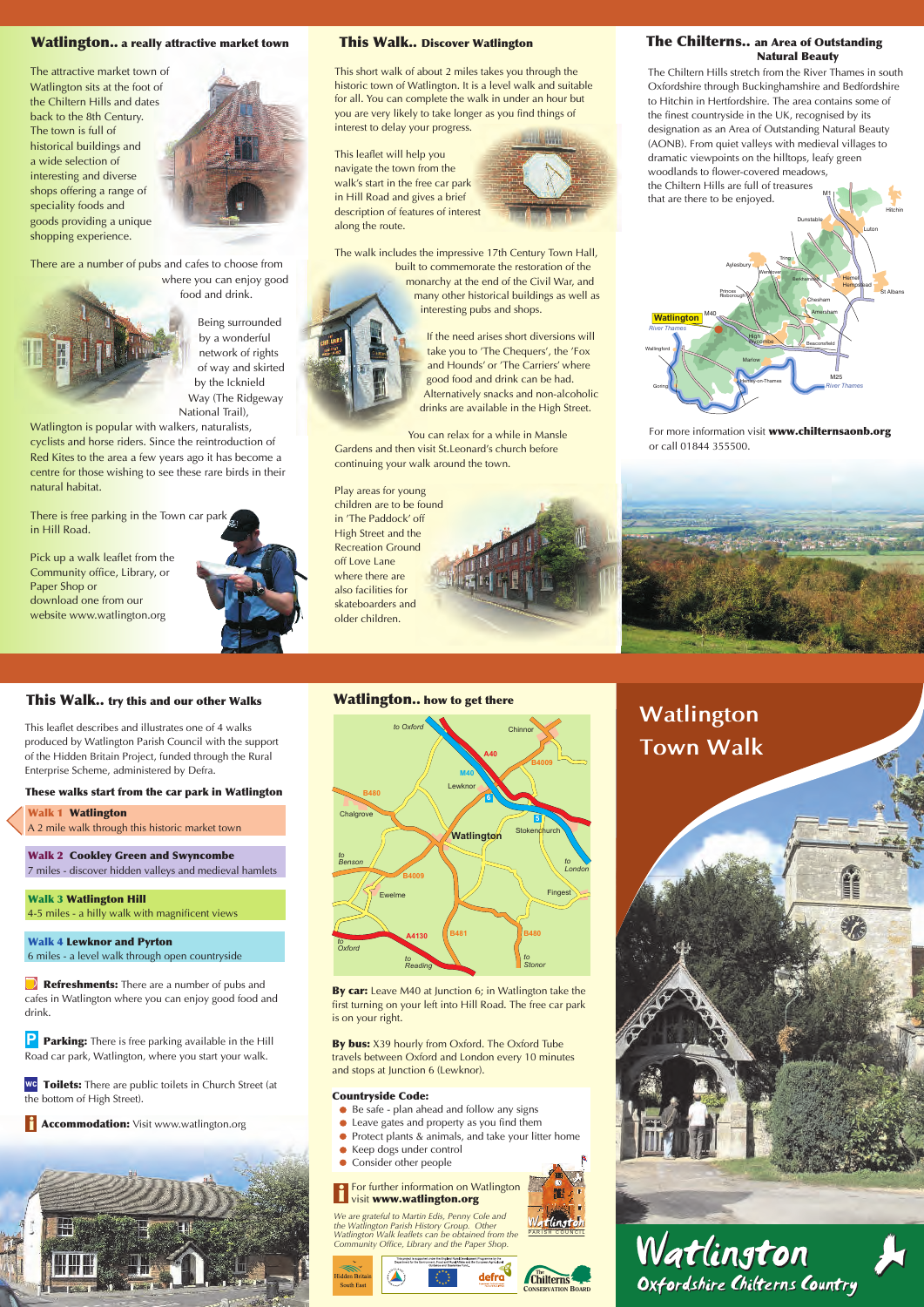# **Watlington Town Walk**



# **This Walk.. try this and our other Walks**

# **These walks start from the car park in Watlington**

# **Watlington.. how to get there**

- *Be safe plan ahead and follow any signs*
- *Leave gates and property as you find them*
- *Protect plants & animals, and take your litter home*
- *Keep dogs under control*
- *Consider other people*  $\bullet$

**By car:** *Leave M40 at Junction 6; in Watlington take the first turning on your left into Hill Road. The free car park is on your right.*

**By bus:** *X39 hourly from Oxford. The Oxford Tube travels between Oxford and London every 10 minutes and stops at Junction 6 (Lewknor).*

## **Countryside Code:**









#### **i** *For further information on Watlington visit* **www.watlington.org**

M1 | -2 *the Chiltern Hills are full of treasures The Chiltern Hills stretch from the River Thames in south Oxfordshire through Buckinghamshire and Bedfordshire to Hitchin in Hertfordshire. The area contains some of the finest countryside in the UK, recognised by its designation as an Area of Outstanding Natural Beauty (AONB). From quiet valleys with medieval villages to dramatic viewpoints on the hilltops, leafy green woodlands to flower-covered meadows, that are there to be enjoyed.*

*We are grateful to Martin Edis, Penny Cole and the Watlington Parish History Group. Other Watlington Walk leaflets can be obtained from the Community Office, Library and the Paper Shop.*



*For more information visit* **www.chilternsaonb.org** *or call 01844 355500.*





# **Watlington.. a really attractive market town**

*This short walk of about 2 miles takes you through the historic town of Watlington. It is a level walk and suitable for all. You can complete the walk in under an hour but you are very likely to take longer as you find things of interest to delay your progress.*

**Walk 2 Cookley Green and Swyncombe**  *7 miles - discover hidden valleys and medieval hamlets* 

**Walk 4 Lewknor and Pyrton**  *6 miles - a level walk through open countryside*

*Refreshments:* There are a number of pubs and

*This leaflet will help you navigate the town from the walk's start in the free car park in Hill Road and gives a brief description of features of interest along the route.*



**P Parking:** *There is free parking available in the Hill Road car park, Watlington, where you start your walk.* 

**wc Toilets:** *There are public toilets in Church Street (at the bottom of High Street).*

 *Accommodation: Visit www.watlington.org* 



*The walk includes the impressive 17th Century Town Hall, built to commemorate the restoration of the monarchy at the end of the Civil War, and many other historical buildings as well as* 

*interesting pubs and shops.*



*If the need arises short diversions will take you to 'The Chequers', the 'Fox and Hounds' or 'The Carriers' where good food and drink can be had. Alternatively snacks and non-alcoholic drinks are available in the High Street.*

*You can relax for a while in Mansle Gardens and then visit St.Leonard's church before continuing your walk around the town.*

*Play areas for young* 

*children are to be found in 'The Paddock' off High Street and the Recreation Ground off Love Lane where there are also facilities for skateboarders and older children.*

*The attractive market town of Watlington sits at the foot of the Chiltern Hills and dates back to the 8th Century. The town is full of historical buildings and a wide selection of interesting and diverse shops offering a range of speciality foods and goods providing a unique shopping experience.*



*There are a number of pubs and cafes to choose from where you can enjoy good* 



*food and drink. Being surrounded by a wonderful* 

*network of rights of way and skirted by the Icknield Way (The Ridgeway National Trail),* 

*Watlington is popular with walkers, naturalists, cyclists and horse riders. Since the reintroduction of Red Kites to the area a few years ago it has become a centre for those wishing to see these rare birds in their natural habitat.*

*There is free parking in the Town car park in Hill Road.*

*Pick up a walk leaflet from the Community office, Library, or Paper Shop or download one from our website www.watlington.org*



*This leaflet describes and illustrates one of 4 walks produced by Watlington Parish Council with the support of the Hidden Britain Project, funded through the Rural Enterprise Scheme, administered by Defra.*

 **Watlington Walk 1**  *A 2 mile walk through this historic market town* 

 **Watlington Hill Walk 3**  *4-5 miles - a hilly walk with magnificent views* 

*cafes in Watlington where you can enjoy good food and drink.*